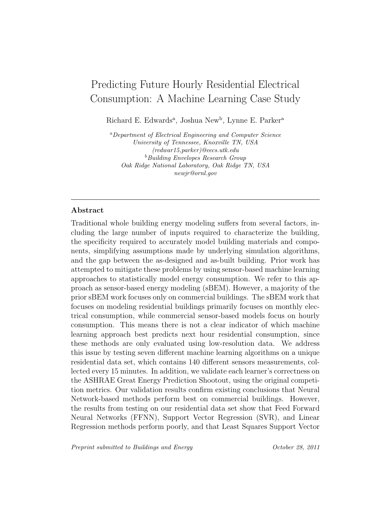# Predicting Future Hourly Residential Electrical Consumption: A Machine Learning Case Study

Richard E. Edwards<sup>a</sup>, Joshua New<sup>b</sup>, Lynne E. Parker<sup>a</sup>

<sup>a</sup>Department of Electrical Engineering and Computer Science University of Tennessee, Knoxville TN, USA (redwar15,parker)@eecs.utk.edu **b**Building Envelopes Research Group Oak Ridge National Laboratory, Oak Ridge TN, USA newjr@ornl.gov

# Abstract

Traditional whole building energy modeling suffers from several factors, including the large number of inputs required to characterize the building, the specificity required to accurately model building materials and components, simplifying assumptions made by underlying simulation algorithms, and the gap between the as-designed and as-built building. Prior work has attempted to mitigate these problems by using sensor-based machine learning approaches to statistically model energy consumption. We refer to this approach as sensor-based energy modeling (sBEM). However, a majority of the prior sBEM work focuses only on commercial buildings. The sBEM work that focuses on modeling residential buildings primarily focuses on monthly electrical consumption, while commercial sensor-based models focus on hourly consumption. This means there is not a clear indicator of which machine learning approach best predicts next hour residential consumption, since these methods are only evaluated using low-resolution data. We address this issue by testing seven different machine learning algorithms on a unique residential data set, which contains 140 different sensors measurements, collected every 15 minutes. In addition, we validate each learner's correctness on the ASHRAE Great Energy Prediction Shootout, using the original competition metrics. Our validation results confirm existing conclusions that Neural Network-based methods perform best on commercial buildings. However, the results from testing on our residential data set show that Feed Forward Neural Networks (FFNN), Support Vector Regression (SVR), and Linear Regression methods perform poorly, and that Least Squares Support Vector

Preprint submitted to Buildings and Energy Cotober 28, 2011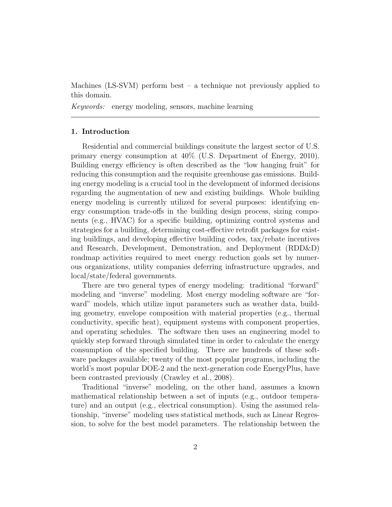Machines (LS-SVM) perform best – a technique not previously applied to this domain.

Keywords: energy modeling, sensors, machine learning

# 1. Introduction

Residential and commercial buildings consitute the largest sector of U.S. primary energy consumption at 40% (U.S. Department of Energy, 2010). Building energy efficiency is often described as the "low hanging fruit" for reducing this consumption and the requisite greenhouse gas emissions. Building energy modeling is a crucial tool in the development of informed decisions regarding the augmentation of new and existing buildings. Whole building energy modeling is currently utilized for several purposes: identifying energy consumption trade-offs in the building design process, sizing components (e.g., HVAC) for a specific building, optimizing control systems and strategies for a building, determining cost-effective retrofit packages for existing buildings, and developing effective building codes, tax/rebate incentives and Research, Development, Demonstration, and Deployment (RDD&D) roadmap activities required to meet energy reduction goals set by numerous organizations, utility companies deferring infrastructure upgrades, and local/state/federal governments.

There are two general types of energy modeling: traditional "forward" modeling and "inverse" modeling. Most energy modeling software are "forward" models, which utilize input parameters such as weather data, building geometry, envelope composition with material properties (e.g., thermal conductivity, specific heat), equipment systems with component properties, and operating schedules. The software then uses an engineering model to quickly step forward through simulated time in order to calculate the energy consumption of the specified building. There are hundreds of these software packages available; twenty of the most popular programs, including the world's most popular DOE-2 and the next-generation code EnergyPlus, have been contrasted previously (Crawley et al., 2008).

Traditional "inverse" modeling, on the other hand, assumes a known mathematical relationship between a set of inputs (e.g., outdoor temperature) and an output (e.g., electrical consumption). Using the assumed relationship, "inverse" modeling uses statistical methods, such as Linear Regression, to solve for the best model parameters. The relationship between the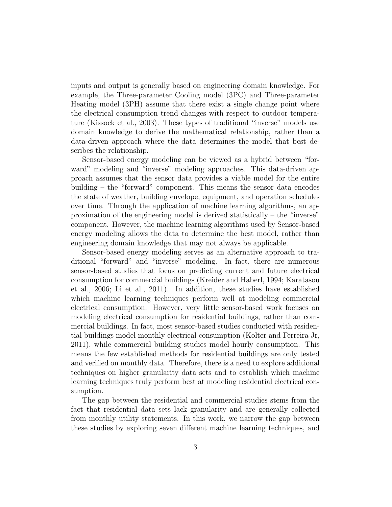inputs and output is generally based on engineering domain knowledge. For example, the Three-parameter Cooling model (3PC) and Three-parameter Heating model (3PH) assume that there exist a single change point where the electrical consumption trend changes with respect to outdoor temperature (Kissock et al., 2003). These types of traditional "inverse" models use domain knowledge to derive the mathematical relationship, rather than a data-driven approach where the data determines the model that best describes the relationship.

Sensor-based energy modeling can be viewed as a hybrid between "forward" modeling and "inverse" modeling approaches. This data-driven approach assumes that the sensor data provides a viable model for the entire building – the "forward" component. This means the sensor data encodes the state of weather, building envelope, equipment, and operation schedules over time. Through the application of machine learning algorithms, an approximation of the engineering model is derived statistically – the "inverse" component. However, the machine learning algorithms used by Sensor-based energy modeling allows the data to determine the best model, rather than engineering domain knowledge that may not always be applicable.

Sensor-based energy modeling serves as an alternative approach to traditional "forward" and "inverse" modeling. In fact, there are numerous sensor-based studies that focus on predicting current and future electrical consumption for commercial buildings (Kreider and Haberl, 1994; Karatasou et al., 2006; Li et al., 2011). In addition, these studies have established which machine learning techniques perform well at modeling commercial electrical consumption. However, very little sensor-based work focuses on modeling electrical consumption for residential buildings, rather than commercial buildings. In fact, most sensor-based studies conducted with residential buildings model monthly electrical consumption (Kolter and Ferreira Jr, 2011), while commercial building studies model hourly consumption. This means the few established methods for residential buildings are only tested and verified on monthly data. Therefore, there is a need to explore additional techniques on higher granularity data sets and to establish which machine learning techniques truly perform best at modeling residential electrical consumption.

The gap between the residential and commercial studies stems from the fact that residential data sets lack granularity and are generally collected from monthly utility statements. In this work, we narrow the gap between these studies by exploring seven different machine learning techniques, and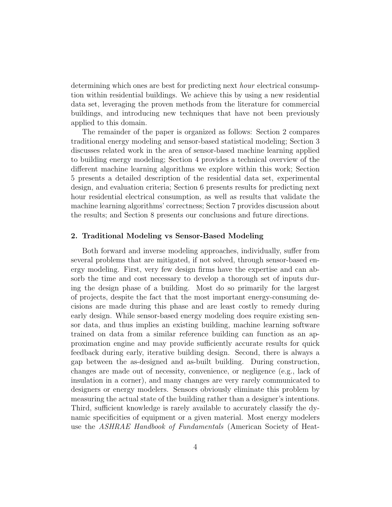determining which ones are best for predicting next hour electrical consumption within residential buildings. We achieve this by using a new residential data set, leveraging the proven methods from the literature for commercial buildings, and introducing new techniques that have not been previously applied to this domain.

The remainder of the paper is organized as follows: Section 2 compares traditional energy modeling and sensor-based statistical modeling; Section 3 discusses related work in the area of sensor-based machine learning applied to building energy modeling; Section 4 provides a technical overview of the different machine learning algorithms we explore within this work; Section 5 presents a detailed description of the residential data set, experimental design, and evaluation criteria; Section 6 presents results for predicting next hour residential electrical consumption, as well as results that validate the machine learning algorithms' correctness; Section 7 provides discussion about the results; and Section 8 presents our conclusions and future directions.

# 2. Traditional Modeling vs Sensor-Based Modeling

Both forward and inverse modeling approaches, individually, suffer from several problems that are mitigated, if not solved, through sensor-based energy modeling. First, very few design firms have the expertise and can absorb the time and cost necessary to develop a thorough set of inputs during the design phase of a building. Most do so primarily for the largest of projects, despite the fact that the most important energy-consuming decisions are made during this phase and are least costly to remedy during early design. While sensor-based energy modeling does require existing sensor data, and thus implies an existing building, machine learning software trained on data from a similar reference building can function as an approximation engine and may provide sufficiently accurate results for quick feedback during early, iterative building design. Second, there is always a gap between the as-designed and as-built building. During construction, changes are made out of necessity, convenience, or negligence (e.g., lack of insulation in a corner), and many changes are very rarely communicated to designers or energy modelers. Sensors obviously eliminate this problem by measuring the actual state of the building rather than a designer's intentions. Third, sufficient knowledge is rarely available to accurately classify the dynamic specificities of equipment or a given material. Most energy modelers use the ASHRAE Handbook of Fundamentals (American Society of Heat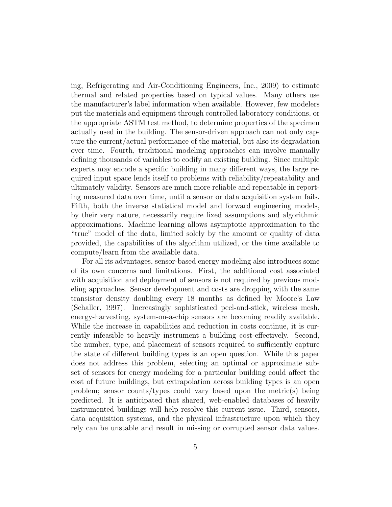ing, Refrigerating and Air-Conditioning Engineers, Inc., 2009) to estimate thermal and related properties based on typical values. Many others use the manufacturer's label information when available. However, few modelers put the materials and equipment through controlled laboratory conditions, or the appropriate ASTM test method, to determine properties of the specimen actually used in the building. The sensor-driven approach can not only capture the current/actual performance of the material, but also its degradation over time. Fourth, traditional modeling approaches can involve manually defining thousands of variables to codify an existing building. Since multiple experts may encode a specific building in many different ways, the large required input space lends itself to problems with reliability/repeatability and ultimately validity. Sensors are much more reliable and repeatable in reporting measured data over time, until a sensor or data acquisition system fails. Fifth, both the inverse statistical model and forward engineering models, by their very nature, necessarily require fixed assumptions and algorithmic approximations. Machine learning allows asymptotic approximation to the "true" model of the data, limited solely by the amount or quality of data provided, the capabilities of the algorithm utilized, or the time available to compute/learn from the available data.

For all its advantages, sensor-based energy modeling also introduces some of its own concerns and limitations. First, the additional cost associated with acquisition and deployment of sensors is not required by previous modeling approaches. Sensor development and costs are dropping with the same transistor density doubling every 18 months as defined by Moore's Law (Schaller, 1997). Increasingly sophisticated peel-and-stick, wireless mesh, energy-harvesting, system-on-a-chip sensors are becoming readily available. While the increase in capabilities and reduction in costs continue, it is currently infeasible to heavily instrument a building cost-effectively. Second, the number, type, and placement of sensors required to sufficiently capture the state of different building types is an open question. While this paper does not address this problem, selecting an optimal or approximate subset of sensors for energy modeling for a particular building could affect the cost of future buildings, but extrapolation across building types is an open problem; sensor counts/types could vary based upon the metric(s) being predicted. It is anticipated that shared, web-enabled databases of heavily instrumented buildings will help resolve this current issue. Third, sensors, data acquisition systems, and the physical infrastructure upon which they rely can be unstable and result in missing or corrupted sensor data values.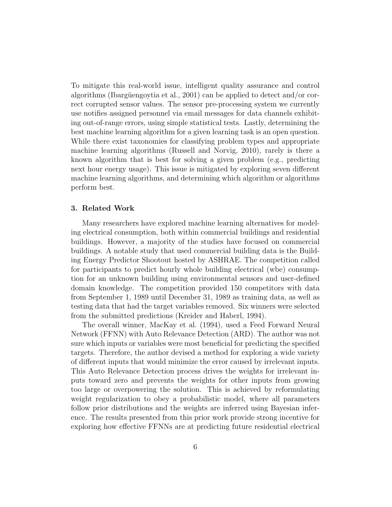To mitigate this real-world issue, intelligent quality assurance and control algorithms (Ibargüengoytia et al., 2001) can be applied to detect and/or correct corrupted sensor values. The sensor pre-processing system we currently use notifies assigned personnel via email messages for data channels exhibiting out-of-range errors, using simple statistical tests. Lastly, determining the best machine learning algorithm for a given learning task is an open question. While there exist taxonomies for classifying problem types and appropriate machine learning algorithms (Russell and Norvig, 2010), rarely is there a known algorithm that is best for solving a given problem (e.g., predicting next hour energy usage). This issue is mitigated by exploring seven different machine learning algorithms, and determining which algorithm or algorithms perform best.

# 3. Related Work

Many researchers have explored machine learning alternatives for modeling electrical consumption, both within commercial buildings and residential buildings. However, a majority of the studies have focused on commercial buildings. A notable study that used commercial building data is the Building Energy Predictor Shootout hosted by ASHRAE. The competition called for participants to predict hourly whole building electrical (wbe) consumption for an unknown building using environmental sensors and user-defined domain knowledge. The competition provided 150 competitors with data from September 1, 1989 until December 31, 1989 as training data, as well as testing data that had the target variables removed. Six winners were selected from the submitted predictions (Kreider and Haberl, 1994).

The overall winner, MacKay et al. (1994), used a Feed Forward Neural Network (FFNN) with Auto Relevance Detection (ARD). The author was not sure which inputs or variables were most beneficial for predicting the specified targets. Therefore, the author devised a method for exploring a wide variety of different inputs that would minimize the error caused by irrelevant inputs. This Auto Relevance Detection process drives the weights for irrelevant inputs toward zero and prevents the weights for other inputs from growing too large or overpowering the solution. This is achieved by reformulating weight regularization to obey a probabilistic model, where all parameters follow prior distributions and the weights are inferred using Bayesian inference. The results presented from this prior work provide strong incentive for exploring how effective FFNNs are at predicting future residential electrical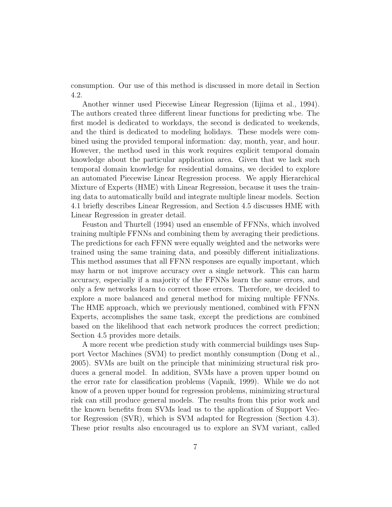consumption. Our use of this method is discussed in more detail in Section 4.2.

Another winner used Piecewise Linear Regression (Iijima et al., 1994). The authors created three different linear functions for predicting wbe. The first model is dedicated to workdays, the second is dedicated to weekends, and the third is dedicated to modeling holidays. These models were combined using the provided temporal information: day, month, year, and hour. However, the method used in this work requires explicit temporal domain knowledge about the particular application area. Given that we lack such temporal domain knowledge for residential domains, we decided to explore an automated Piecewise Linear Regression process. We apply Hierarchical Mixture of Experts (HME) with Linear Regression, because it uses the training data to automatically build and integrate multiple linear models. Section 4.1 briefly describes Linear Regression, and Section 4.5 discusses HME with Linear Regression in greater detail.

Feuston and Thurtell (1994) used an ensemble of FFNNs, which involved training multiple FFNNs and combining them by averaging their predictions. The predictions for each FFNN were equally weighted and the networks were trained using the same training data, and possibly different initializations. This method assumes that all FFNN responses are equally important, which may harm or not improve accuracy over a single network. This can harm accuracy, especially if a majority of the FFNNs learn the same errors, and only a few networks learn to correct those errors. Therefore, we decided to explore a more balanced and general method for mixing multiple FFNNs. The HME approach, which we previously mentioned, combined with FFNN Experts, accomplishes the same task, except the predictions are combined based on the likelihood that each network produces the correct prediction; Section 4.5 provides more details.

A more recent wbe prediction study with commercial buildings uses Support Vector Machines (SVM) to predict monthly consumption (Dong et al., 2005). SVMs are built on the principle that minimizing structural risk produces a general model. In addition, SVMs have a proven upper bound on the error rate for classification problems (Vapnik, 1999). While we do not know of a proven upper bound for regression problems, minimizing structural risk can still produce general models. The results from this prior work and the known benefits from SVMs lead us to the application of Support Vector Regression (SVR), which is SVM adapted for Regression (Section 4.3). These prior results also encouraged us to explore an SVM variant, called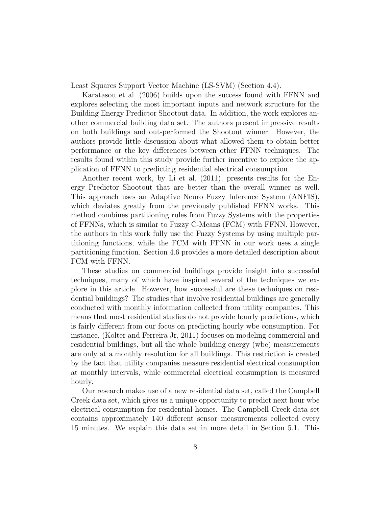Least Squares Support Vector Machine (LS-SVM) (Section 4.4).

Karatasou et al. (2006) builds upon the success found with FFNN and explores selecting the most important inputs and network structure for the Building Energy Predictor Shootout data. In addition, the work explores another commercial building data set. The authors present impressive results on both buildings and out-performed the Shootout winner. However, the authors provide little discussion about what allowed them to obtain better performance or the key differences between other FFNN techniques. The results found within this study provide further incentive to explore the application of FFNN to predicting residential electrical consumption.

Another recent work, by Li et al. (2011), presents results for the Energy Predictor Shootout that are better than the overall winner as well. This approach uses an Adaptive Neuro Fuzzy Inference System (ANFIS), which deviates greatly from the previously published FFNN works. This method combines partitioning rules from Fuzzy Systems with the properties of FFNNs, which is similar to Fuzzy C-Means (FCM) with FFNN. However, the authors in this work fully use the Fuzzy Systems by using multiple partitioning functions, while the FCM with FFNN in our work uses a single partitioning function. Section 4.6 provides a more detailed description about FCM with FFNN.

These studies on commercial buildings provide insight into successful techniques, many of which have inspired several of the techniques we explore in this article. However, how successful are these techniques on residential buildings? The studies that involve residential buildings are generally conducted with monthly information collected from utility companies. This means that most residential studies do not provide hourly predictions, which is fairly different from our focus on predicting hourly wbe consumption. For instance, (Kolter and Ferreira Jr, 2011) focuses on modeling commercial and residential buildings, but all the whole building energy (wbe) measurements are only at a monthly resolution for all buildings. This restriction is created by the fact that utility companies measure residential electrical consumption at monthly intervals, while commercial electrical consumption is measured hourly.

Our research makes use of a new residential data set, called the Campbell Creek data set, which gives us a unique opportunity to predict next hour wbe electrical consumption for residential homes. The Campbell Creek data set contains approximately 140 different sensor measurements collected every 15 minutes. We explain this data set in more detail in Section 5.1. This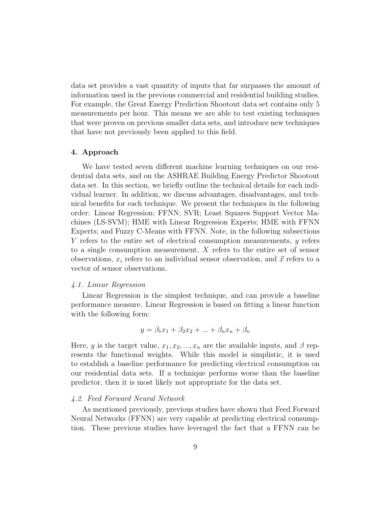data set provides a vast quantity of inputs that far surpasses the amount of information used in the previous commercial and residential building studies. For example, the Great Energy Prediction Shootout data set contains only 5 measurements per hour. This means we are able to test existing techniques that were proven on previous smaller data sets, and introduce new techniques that have not previously been applied to this field.

# 4. Approach

We have tested seven different machine learning techniques on our residential data sets, and on the ASHRAE Building Energy Predictor Shootout data set. In this section, we briefly outline the technical details for each individual learner. In addition, we discuss advantages, disadvantages, and technical benefits for each technique. We present the techniques in the following order: Linear Regression; FFNN; SVR; Least Squares Support Vector Machines (LS-SVM); HME with Linear Regression Experts; HME with FFNN Experts; and Fuzzy C-Means with FFNN. Note, in the following subsections Y refers to the entire set of electrical consumption measurements, y refers to a single consumption measurement, X refers to the entire set of sensor observations,  $x_i$  refers to an individual sensor observation, and  $\vec{x}$  refers to a vector of sensor observations.

# 4.1. Linear Regression

Linear Regression is the simplest technique, and can provide a baseline performance measure. Linear Regression is based on fitting a linear function with the following form:

$$
y = \beta_1 x_1 + \beta_2 x_2 + \dots + \beta_n x_n + \beta_n
$$

Here, y is the target value,  $x_1, x_2, ..., x_n$  are the available inputs, and  $\beta$  represents the functional weights. While this model is simplistic, it is used to establish a baseline performance for predicting electrical consumption on our residential data sets. If a technique performs worse than the baseline predictor, then it is most likely not appropriate for the data set.

# 4.2. Feed Forward Neural Network

As mentioned previously, previous studies have shown that Feed Forward Neural Networks (FFNN) are very capable at predicting electrical consumption. These previous studies have leveraged the fact that a FFNN can be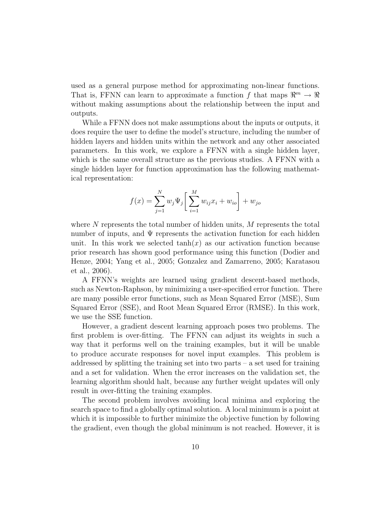used as a general purpose method for approximating non-linear functions. That is, FFNN can learn to approximate a function f that maps  $\mathbb{R}^m \to \mathbb{R}$ without making assumptions about the relationship between the input and outputs.

While a FFNN does not make assumptions about the inputs or outputs, it does require the user to define the model's structure, including the number of hidden layers and hidden units within the network and any other associated parameters. In this work, we explore a FFNN with a single hidden layer, which is the same overall structure as the previous studies. A FFNN with a single hidden layer for function approximation has the following mathematical representation:

$$
f(x) = \sum_{j=1}^{N} w_j \Psi_j \left[ \sum_{i=1}^{M} w_{ij} x_i + w_{io} \right] + w_{jo}
$$

where  $N$  represents the total number of hidden units,  $M$  represents the total number of inputs, and  $\Psi$  represents the activation function for each hidden unit. In this work we selected  $tanh(x)$  as our activation function because prior research has shown good performance using this function (Dodier and Henze, 2004; Yang et al., 2005; Gonzalez and Zamarreno, 2005; Karatasou et al., 2006).

A FFNN's weights are learned using gradient descent-based methods, such as Newton-Raphson, by minimizing a user-specified error function. There are many possible error functions, such as Mean Squared Error (MSE), Sum Squared Error (SSE), and Root Mean Squared Error (RMSE). In this work, we use the SSE function.

However, a gradient descent learning approach poses two problems. The first problem is over-fitting. The FFNN can adjust its weights in such a way that it performs well on the training examples, but it will be unable to produce accurate responses for novel input examples. This problem is addressed by splitting the training set into two parts – a set used for training and a set for validation. When the error increases on the validation set, the learning algorithm should halt, because any further weight updates will only result in over-fitting the training examples.

The second problem involves avoiding local minima and exploring the search space to find a globally optimal solution. A local minimum is a point at which it is impossible to further minimize the objective function by following the gradient, even though the global minimum is not reached. However, it is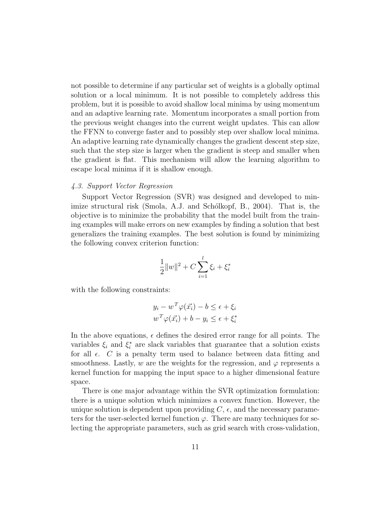not possible to determine if any particular set of weights is a globally optimal solution or a local minimum. It is not possible to completely address this problem, but it is possible to avoid shallow local minima by using momentum and an adaptive learning rate. Momentum incorporates a small portion from the previous weight changes into the current weight updates. This can allow the FFNN to converge faster and to possibly step over shallow local minima. An adaptive learning rate dynamically changes the gradient descent step size, such that the step size is larger when the gradient is steep and smaller when the gradient is flat. This mechanism will allow the learning algorithm to escape local minima if it is shallow enough.

# 4.3. Support Vector Regression

Support Vector Regression (SVR) was designed and developed to minimize structural risk (Smola, A.J. and Schotkopf, B., 2004). That is, the objective is to minimize the probability that the model built from the training examples will make errors on new examples by finding a solution that best generalizes the training examples. The best solution is found by minimizing the following convex criterion function:

$$
\frac{1}{2}||w||^2 + C\sum_{i=1}^l \xi_i + \xi_i^*
$$

with the following constraints:

$$
y_i - w^T \varphi(\vec{x_i}) - b \le \epsilon + \xi_i
$$
  

$$
w^T \varphi(\vec{x_i}) + b - y_i \le \epsilon + \xi_i^*
$$

In the above equations,  $\epsilon$  defines the desired error range for all points. The variables  $\xi_i$  and  $\xi_i^*$  are slack variables that guarantee that a solution exists for all  $\epsilon$ . C is a penalty term used to balance between data fitting and smoothness. Lastly, w are the weights for the regression, and  $\varphi$  represents a kernel function for mapping the input space to a higher dimensional feature space.

There is one major advantage within the SVR optimization formulation: there is a unique solution which minimizes a convex function. However, the unique solution is dependent upon providing  $C, \epsilon$ , and the necessary parameters for the user-selected kernel function  $\varphi$ . There are many techniques for selecting the appropriate parameters, such as grid search with cross-validation,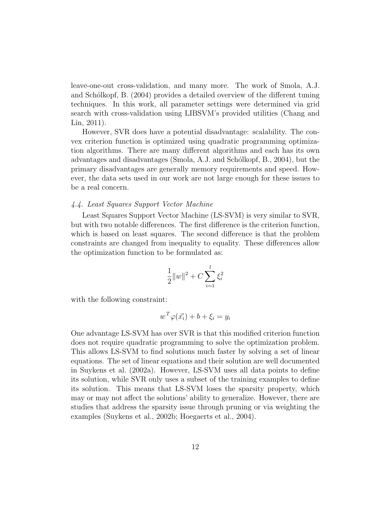leave-one-out cross-validation, and many more. The work of Smola, A.J. and Schólkopf, B. (2004) provides a detailed overview of the different tuning techniques. In this work, all parameter settings were determined via grid search with cross-validation using LIBSVM's provided utilities (Chang and Lin, 2011).

However, SVR does have a potential disadvantage: scalability. The convex criterion function is optimized using quadratic programming optimization algorithms. There are many different algorithms and each has its own advantages and disadvantages (Smola, A.J. and Sch´olkopf, B., 2004), but the primary disadvantages are generally memory requirements and speed. However, the data sets used in our work are not large enough for these issues to be a real concern.

# 4.4. Least Squares Support Vector Machine

Least Squares Support Vector Machine (LS-SVM) is very similar to SVR, but with two notable differences. The first difference is the criterion function, which is based on least squares. The second difference is that the problem constraints are changed from inequality to equality. These differences allow the optimization function to be formulated as:

$$
\frac{1}{2}\|w\|^2 + C \sum_{i=1}^l \xi_i^2
$$

with the following constraint:

$$
w^T \varphi(\vec{x_i}) + b + \xi_i = y_i
$$

One advantage LS-SVM has over SVR is that this modified criterion function does not require quadratic programming to solve the optimization problem. This allows LS-SVM to find solutions much faster by solving a set of linear equations. The set of linear equations and their solution are well documented in Suykens et al. (2002a). However, LS-SVM uses all data points to define its solution, while SVR only uses a subset of the training examples to define its solution. This means that LS-SVM loses the sparsity property, which may or may not affect the solutions' ability to generalize. However, there are studies that address the sparsity issue through pruning or via weighting the examples (Suykens et al., 2002b; Hoegaerts et al., 2004).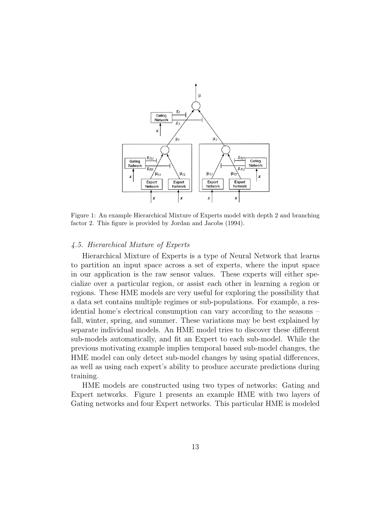

Figure 1: An example Hierarchical Mixture of Experts model with depth 2 and branching factor 2. This figure is provided by Jordan and Jacobs (1994).

# 4.5. Hierarchical Mixture of Experts

Hierarchical Mixture of Experts is a type of Neural Network that learns to partition an input space across a set of experts, where the input space in our application is the raw sensor values. These experts will either specialize over a particular region, or assist each other in learning a region or regions. These HME models are very useful for exploring the possibility that a data set contains multiple regimes or sub-populations. For example, a residential home's electrical consumption can vary according to the seasons – fall, winter, spring, and summer. These variations may be best explained by separate individual models. An HME model tries to discover these different sub-models automatically, and fit an Expert to each sub-model. While the previous motivating example implies temporal based sub-model changes, the HME model can only detect sub-model changes by using spatial differences, as well as using each expert's ability to produce accurate predictions during training.

HME models are constructed using two types of networks: Gating and Expert networks. Figure 1 presents an example HME with two layers of Gating networks and four Expert networks. This particular HME is modeled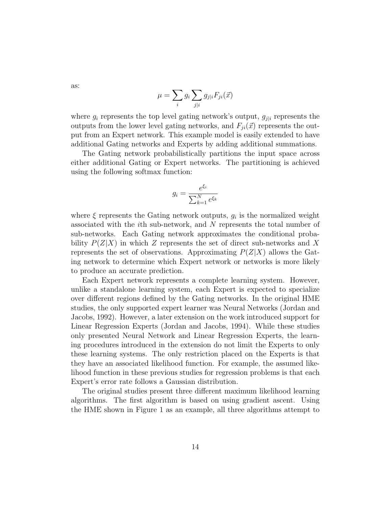as:

$$
\mu = \sum_{i} g_i \sum_{j|i} g_{j|i} F_{ji}(\vec{x})
$$

where  $g_i$  represents the top level gating network's output,  $g_{i|i}$  represents the outputs from the lower level gating networks, and  $F_{ji}(\vec{x})$  represents the output from an Expert network. This example model is easily extended to have additional Gating networks and Experts by adding additional summations.

The Gating network probabilistically partitions the input space across either additional Gating or Expert networks. The partitioning is achieved using the following softmax function:

$$
g_i = \frac{e^{\xi_i}}{\sum_{k=1}^N e^{\xi_k}}
$$

where  $\xi$  represents the Gating network outputs,  $g_i$  is the normalized weight associated with the ith sub-network, and N represents the total number of sub-networks. Each Gating network approximates the conditional probability  $P(Z|X)$  in which Z represents the set of direct sub-networks and X represents the set of observations. Approximating  $P(Z|X)$  allows the Gating network to determine which Expert network or networks is more likely to produce an accurate prediction.

Each Expert network represents a complete learning system. However, unlike a standalone learning system, each Expert is expected to specialize over different regions defined by the Gating networks. In the original HME studies, the only supported expert learner was Neural Networks (Jordan and Jacobs, 1992). However, a later extension on the work introduced support for Linear Regression Experts (Jordan and Jacobs, 1994). While these studies only presented Neural Network and Linear Regression Experts, the learning procedures introduced in the extension do not limit the Experts to only these learning systems. The only restriction placed on the Experts is that they have an associated likelihood function. For example, the assumed likelihood function in these previous studies for regression problems is that each Expert's error rate follows a Gaussian distribution.

The original studies present three different maximum likelihood learning algorithms. The first algorithm is based on using gradient ascent. Using the HME shown in Figure 1 as an example, all three algorithms attempt to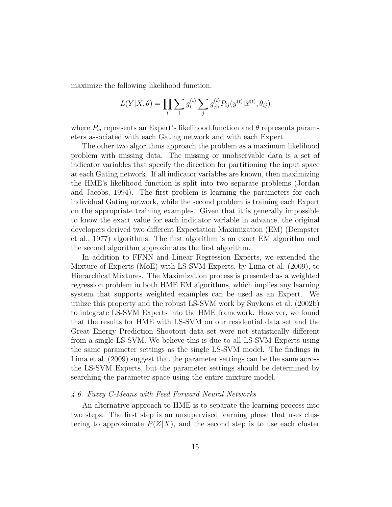maximize the following likelihood function:

$$
L(Y|X, \theta) = \prod_{t} \sum_{i} g_i^{(t)} \sum_{j} g_{j|i}^{(t)} P_{ij}(y^{(t)} | \vec{x}^{(t)}, \theta_{ij})
$$

where  $P_{ij}$  represents an Expert's likelihood function and  $\theta$  represents parameters associated with each Gating network and with each Expert.

The other two algorithms approach the problem as a maximum likelihood problem with missing data. The missing or unobservable data is a set of indicator variables that specify the direction for partitioning the input space at each Gating network. If all indicator variables are known, then maximizing the HME's likelihood function is split into two separate problems (Jordan and Jacobs, 1994). The first problem is learning the parameters for each individual Gating network, while the second problem is training each Expert on the appropriate training examples. Given that it is generally impossible to know the exact value for each indicator variable in advance, the original developers derived two different Expectation Maximization (EM) (Dempster et al., 1977) algorithms. The first algorithm is an exact EM algorithm and the second algorithm approximates the first algorithm.

In addition to FFNN and Linear Regression Experts, we extended the Mixture of Experts (MoE) with LS-SVM Experts, by Lima et al. (2009), to Hierarchical Mixtures. The Maximization process is presented as a weighted regression problem in both HME EM algorithms, which implies any learning system that supports weighted examples can be used as an Expert. We utilize this property and the robust LS-SVM work by Suykens et al. (2002b) to integrate LS-SVM Experts into the HME framework. However, we found that the results for HME with LS-SVM on our residential data set and the Great Energy Prediction Shootout data set were not statistically different from a single LS-SVM. We believe this is due to all LS-SVM Experts using the same parameter settings as the single LS-SVM model. The findings in Lima et al. (2009) suggest that the parameter settings can be the same across the LS-SVM Experts, but the parameter settings should be determined by searching the parameter space using the entire mixture model.

# 4.6. Fuzzy C-Means with Feed Forward Neural Networks

An alternative approach to HME is to separate the learning process into two steps. The first step is an unsupervised learning phase that uses clustering to approximate  $P(Z|X)$ , and the second step is to use each cluster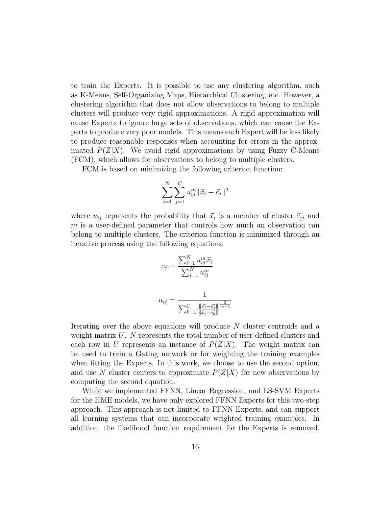to train the Experts. It is possible to use any clustering algorithm, such as K-Means, Self-Organizing Maps, Hierarchical Clustering, etc. However, a clustering algorithm that does not allow observations to belong to multiple clusters will produce very rigid approximations. A rigid approximation will cause Experts to ignore large sets of observations, which can cause the Experts to produce very poor models. This means each Expert will be less likely to produce reasonable responses when accounting for errors in the approximated  $P(Z|X)$ . We avoid rigid approximations by using Fuzzy C-Means (FCM), which allows for observations to belong to multiple clusters.

FCM is based on minimizing the following criterion function:

$$
\sum_{i=1}^{N} \sum_{j=1}^{C} u_{ij}^{m} ||\vec{x}_i - \vec{c}_j||^2
$$

where  $u_{ij}$  represents the probability that  $\vec{x}_i$  is a member of cluster  $\vec{c}_j$ , and m is a user-defined parameter that controls how much an observation can belong to multiple clusters. The criterion function is minimized through an iterative process using the following equations:

$$
c_j = \frac{\sum_{i=1}^{N} u_{ij}^m \vec{x}_i}{\sum_{i=1}^{N} u_{ij}^m}
$$

$$
u_{ij} = \frac{1}{\sum_{k=1}^{C} \frac{\|\vec{x}_i - \vec{c}_j\|}{\|\vec{x}_i - \vec{c}_k\|}^{\frac{2}{m-1}}}
$$

Iterating over the above equations will produce N cluster centroids and a weight matrix  $U$ . N represents the total number of user-defined clusters and each row in U represents an instance of  $P(Z|X)$ . The weight matrix can be used to train a Gating network or for weighting the training examples when fitting the Experts. In this work, we choose to use the second option, and use N cluster centers to approximate  $P(Z|X)$  for new observations by computing the second equation.

While we implemented FFNN, Linear Regression, and LS-SVM Experts for the HME models, we have only explored FFNN Experts for this two-step approach. This approach is not limited to FFNN Experts, and can support all learning systems that can incorporate weighted training examples. In addition, the likelihood function requirement for the Experts is removed.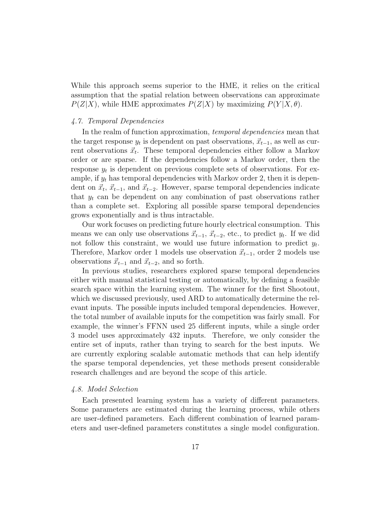While this approach seems superior to the HME, it relies on the critical assumption that the spatial relation between observations can approximate  $P(Z|X)$ , while HME approximates  $P(Z|X)$  by maximizing  $P(Y|X,\theta)$ .

# 4.7. Temporal Dependencies

In the realm of function approximation, *temporal dependencies* mean that the target response  $y_t$  is dependent on past observations,  $\vec{x}_{t-1}$ , as well as current observations  $\vec{x}_t$ . These temporal dependencies either follow a Markov order or are sparse. If the dependencies follow a Markov order, then the response  $y_t$  is dependent on previous complete sets of observations. For example, if  $y_t$  has temporal dependencies with Markov order 2, then it is dependent on  $\vec{x}_t, \vec{x}_{t-1}$ , and  $\vec{x}_{t-2}$ . However, sparse temporal dependencies indicate that  $y_t$  can be dependent on any combination of past observations rather than a complete set. Exploring all possible sparse temporal dependencies grows exponentially and is thus intractable.

Our work focuses on predicting future hourly electrical consumption. This means we can only use observations  $\vec{x}_{t-1}$ ,  $\vec{x}_{t-2}$ , etc., to predict  $y_t$ . If we did not follow this constraint, we would use future information to predict  $y_t$ . Therefore, Markov order 1 models use observation  $\vec{x}_{t-1}$ , order 2 models use observations  $\vec{x}_{t-1}$  and  $\vec{x}_{t-2}$ , and so forth.

In previous studies, researchers explored sparse temporal dependencies either with manual statistical testing or automatically, by defining a feasible search space within the learning system. The winner for the first Shootout, which we discussed previously, used ARD to automatically determine the relevant inputs. The possible inputs included temporal dependencies. However, the total number of available inputs for the competition was fairly small. For example, the winner's FFNN used 25 different inputs, while a single order 3 model uses approximately 432 inputs. Therefore, we only consider the entire set of inputs, rather than trying to search for the best inputs. We are currently exploring scalable automatic methods that can help identify the sparse temporal dependencies, yet these methods present considerable research challenges and are beyond the scope of this article.

#### 4.8. Model Selection

Each presented learning system has a variety of different parameters. Some parameters are estimated during the learning process, while others are user-defined parameters. Each different combination of learned parameters and user-defined parameters constitutes a single model configuration.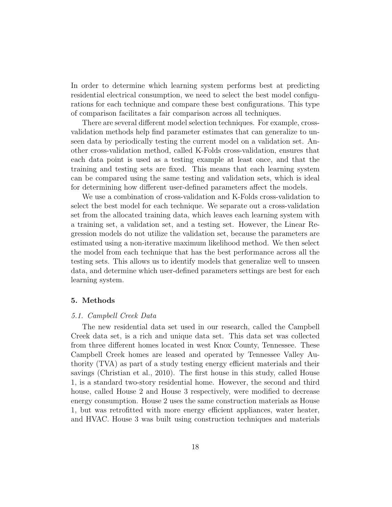In order to determine which learning system performs best at predicting residential electrical consumption, we need to select the best model configurations for each technique and compare these best configurations. This type of comparison facilitates a fair comparison across all techniques.

There are several different model selection techniques. For example, crossvalidation methods help find parameter estimates that can generalize to unseen data by periodically testing the current model on a validation set. Another cross-validation method, called K-Folds cross-validation, ensures that each data point is used as a testing example at least once, and that the training and testing sets are fixed. This means that each learning system can be compared using the same testing and validation sets, which is ideal for determining how different user-defined parameters affect the models.

We use a combination of cross-validation and K-Folds cross-validation to select the best model for each technique. We separate out a cross-validation set from the allocated training data, which leaves each learning system with a training set, a validation set, and a testing set. However, the Linear Regression models do not utilize the validation set, because the parameters are estimated using a non-iterative maximum likelihood method. We then select the model from each technique that has the best performance across all the testing sets. This allows us to identify models that generalize well to unseen data, and determine which user-defined parameters settings are best for each learning system.

#### 5. Methods

#### 5.1. Campbell Creek Data

The new residential data set used in our research, called the Campbell Creek data set, is a rich and unique data set. This data set was collected from three different homes located in west Knox County, Tennessee. These Campbell Creek homes are leased and operated by Tennessee Valley Authority (TVA) as part of a study testing energy efficient materials and their savings (Christian et al., 2010). The first house in this study, called House 1, is a standard two-story residential home. However, the second and third house, called House 2 and House 3 respectively, were modified to decrease energy consumption. House 2 uses the same construction materials as House 1, but was retrofitted with more energy efficient appliances, water heater, and HVAC. House 3 was built using construction techniques and materials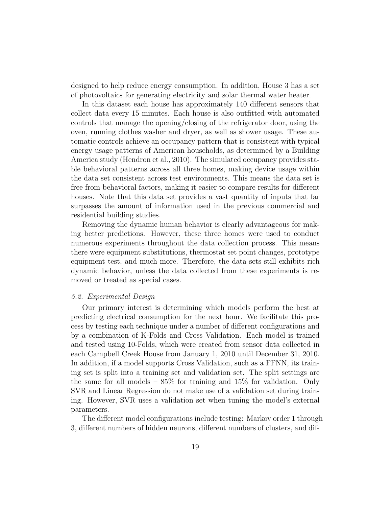designed to help reduce energy consumption. In addition, House 3 has a set of photovoltaics for generating electricity and solar thermal water heater.

In this dataset each house has approximately 140 different sensors that collect data every 15 minutes. Each house is also outfitted with automated controls that manage the opening/closing of the refrigerator door, using the oven, running clothes washer and dryer, as well as shower usage. These automatic controls achieve an occupancy pattern that is consistent with typical energy usage patterns of American households, as determined by a Building America study (Hendron et al., 2010). The simulated occupancy provides stable behavioral patterns across all three homes, making device usage within the data set consistent across test environments. This means the data set is free from behavioral factors, making it easier to compare results for different houses. Note that this data set provides a vast quantity of inputs that far surpasses the amount of information used in the previous commercial and residential building studies.

Removing the dynamic human behavior is clearly advantageous for making better predictions. However, these three homes were used to conduct numerous experiments throughout the data collection process. This means there were equipment substitutions, thermostat set point changes, prototype equipment test, and much more. Therefore, the data sets still exhibits rich dynamic behavior, unless the data collected from these experiments is removed or treated as special cases.

# 5.2. Experimental Design

Our primary interest is determining which models perform the best at predicting electrical consumption for the next hour. We facilitate this process by testing each technique under a number of different configurations and by a combination of K-Folds and Cross Validation. Each model is trained and tested using 10-Folds, which were created from sensor data collected in each Campbell Creek House from January 1, 2010 until December 31, 2010. In addition, if a model supports Cross Validation, such as a FFNN, its training set is split into a training set and validation set. The split settings are the same for all models – 85% for training and 15% for validation. Only SVR and Linear Regression do not make use of a validation set during training. However, SVR uses a validation set when tuning the model's external parameters.

The different model configurations include testing: Markov order 1 through 3, different numbers of hidden neurons, different numbers of clusters, and dif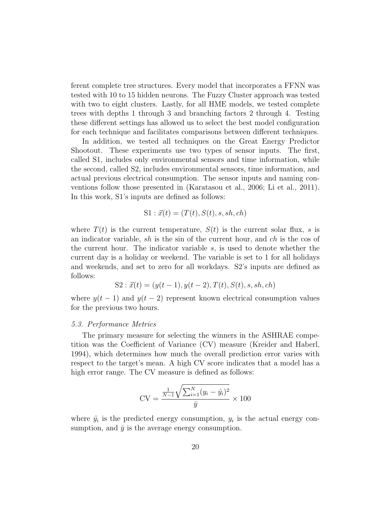ferent complete tree structures. Every model that incorporates a FFNN was tested with 10 to 15 hidden neurons. The Fuzzy Cluster approach was tested with two to eight clusters. Lastly, for all HME models, we tested complete trees with depths 1 through 3 and branching factors 2 through 4. Testing these different settings has allowed us to select the best model configuration for each technique and facilitates comparisons between different techniques.

In addition, we tested all techniques on the Great Energy Predictor Shootout. These experiments use two types of sensor inputs. The first, called S1, includes only environmental sensors and time information, while the second, called S2, includes environmental sensors, time information, and actual previous electrical consumption. The sensor inputs and naming conventions follow those presented in (Karatasou et al., 2006; Li et al., 2011). In this work, S1's inputs are defined as follows:

$$
S1: \vec{x}(t) = (T(t), S(t), s, sh, ch)
$$

where  $T(t)$  is the current temperature,  $S(t)$  is the current solar flux, s is an indicator variable, sh is the sin of the current hour, and ch is the cos of the current hour. The indicator variable s, is used to denote whether the current day is a holiday or weekend. The variable is set to 1 for all holidays and weekends, and set to zero for all workdays. S2's inputs are defined as follows:

$$
S2: \vec{x}(t) = (y(t-1), y(t-2), T(t), S(t), s, sh, ch)
$$

where  $y(t-1)$  and  $y(t-2)$  represent known electrical consumption values for the previous two hours.

#### 5.3. Performance Metrics

The primary measure for selecting the winners in the ASHRAE competition was the Coefficient of Variance (CV) measure (Kreider and Haberl, 1994), which determines how much the overall prediction error varies with respect to the target's mean. A high CV score indicates that a model has a high error range. The CV measure is defined as follows:

$$
CV = \frac{\frac{1}{N-1}\sqrt{\sum_{i=1}^{N}(y_i - \hat{y}_i)^2}}{\bar{y}} \times 100
$$

where  $\hat{y}_i$  is the predicted energy consumption,  $y_i$  is the actual energy consumption, and  $\bar{y}$  is the average energy consumption.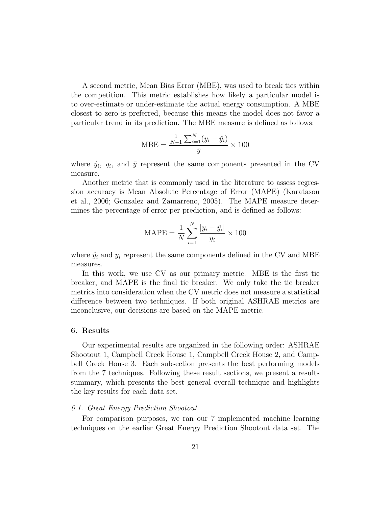A second metric, Mean Bias Error (MBE), was used to break ties within the competition. This metric establishes how likely a particular model is to over-estimate or under-estimate the actual energy consumption. A MBE closest to zero is preferred, because this means the model does not favor a particular trend in its prediction. The MBE measure is defined as follows:

$$
MBE = \frac{\frac{1}{N-1} \sum_{i=1}^{N} (y_i - \hat{y}_i)}{\bar{y}} \times 100
$$

where  $\hat{y}_i$ ,  $y_i$ , and  $\bar{y}$  represent the same components presented in the CV measure.

Another metric that is commonly used in the literature to assess regression accuracy is Mean Absolute Percentage of Error (MAPE) (Karatasou et al., 2006; Gonzalez and Zamarreno, 2005). The MAPE measure determines the percentage of error per prediction, and is defined as follows:

$$
MAPE = \frac{1}{N} \sum_{i=1}^{N} \frac{|y_i - \hat{y}_i|}{y_i} \times 100
$$

where  $\hat{y}_i$  and  $y_i$  represent the same components defined in the CV and MBE measures.

In this work, we use CV as our primary metric. MBE is the first tie breaker, and MAPE is the final tie breaker. We only take the tie breaker metrics into consideration when the CV metric does not measure a statistical difference between two techniques. If both original ASHRAE metrics are inconclusive, our decisions are based on the MAPE metric.

#### 6. Results

Our experimental results are organized in the following order: ASHRAE Shootout 1, Campbell Creek House 1, Campbell Creek House 2, and Campbell Creek House 3. Each subsection presents the best performing models from the 7 techniques. Following these result sections, we present a results summary, which presents the best general overall technique and highlights the key results for each data set.

# 6.1. Great Energy Prediction Shootout

For comparison purposes, we ran our 7 implemented machine learning techniques on the earlier Great Energy Prediction Shootout data set. The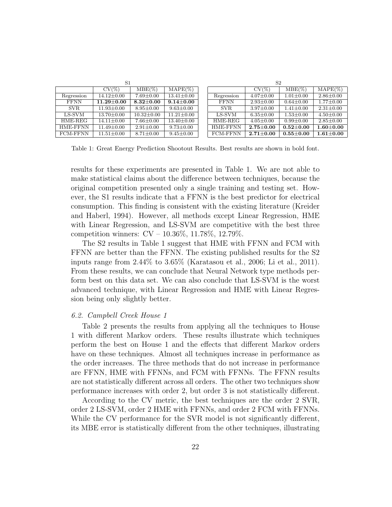| S1          |                  |                  |                   |             | S <sub>2</sub>  |                 |                 |
|-------------|------------------|------------------|-------------------|-------------|-----------------|-----------------|-----------------|
|             | $CV(\%)$         | $MBE(\%)$        | $MAPE(\%)$        |             | $CV(\%)$        | $MBE(\%)$       | $MAPE(\%)$      |
| Regression  | $14.12 \pm 0.00$ | $7.69 \pm 0.00$  | $13.41 \pm 0.00$  | Regression  | $4.07 \pm 0.00$ | $1.01 \pm 0.00$ | $2.86 \pm 0.00$ |
| <b>FFNN</b> | $11.29 \pm 0.00$ | $8.32{\pm}0.00$  | $9.14 {\pm} 0.00$ | <b>FFNN</b> | $2.93 \pm 0.00$ | $0.64 \pm 0.00$ | $1.77 \pm 0.00$ |
| SVR.        | $11.93 \pm 0.00$ | $8.95 \pm 0.00$  | $9.63 \pm 0.00$   | SVR.        | $3.97 \pm 0.00$ | $1.41 \pm 0.00$ | $2.31 \pm 0.00$ |
| $LS-SVM$    | $13.70 \pm 0.00$ | $10.32 \pm 0.00$ | $11.21 \pm 0.00$  | LS-SVM      | $6.35 \pm 0.00$ | $1.53 \pm 0.00$ | $4.50 \pm 0.00$ |
| HME-REG     | $14.11 \pm 0.00$ | $7.66 \pm 0.00$  | $13.40 \pm 0.00$  | HME-REG     | $4.05 \pm 0.00$ | $0.99 + 0.00$   | $2.85 \pm 0.00$ |
| HME-FFNN    | $11.49 \pm 0.00$ | $2.91 \pm 0.00$  | $9.73 \pm 0.00$   | HME-FFNN    | $2.75 + 0.00$   | $0.52 + 0.00$   | $1.60 + 0.00$   |
| FCM-FFNN    | $11.51 \pm 0.00$ | $8.71 + 0.00$    | $9.45 \pm 0.00$   | FCM-FFNN    | $2.71 \pm 0.00$ | $0.55 + 0.00$   | $1.61 \pm 0.00$ |

Table 1: Great Energy Prediction Shootout Results. Best results are shown in bold font.

results for these experiments are presented in Table 1. We are not able to make statistical claims about the difference between techniques, because the original competition presented only a single training and testing set. However, the S1 results indicate that a FFNN is the best predictor for electrical consumption. This finding is consistent with the existing literature (Kreider and Haberl, 1994). However, all methods except Linear Regression, HME with Linear Regression, and LS-SVM are competitive with the best three competition winners: CV – 10.36%, 11.78%, 12.79%.

The S2 results in Table 1 suggest that HME with FFNN and FCM with FFNN are better than the FFNN. The existing published results for the S2 inputs range from 2.44% to 3.65% (Karatasou et al., 2006; Li et al., 2011). From these results, we can conclude that Neural Network type methods perform best on this data set. We can also conclude that LS-SVM is the worst advanced technique, with Linear Regression and HME with Linear Regression being only slightly better.

#### 6.2. Campbell Creek House 1

Table 2 presents the results from applying all the techniques to House 1 with different Markov orders. These results illustrate which techniques perform the best on House 1 and the effects that different Markov orders have on these techniques. Almost all techniques increase in performance as the order increases. The three methods that do not increase in performance are FFNN, HME with FFNNs, and FCM with FFNNs. The FFNN results are not statistically different across all orders. The other two techniques show performance increases with order 2, but order 3 is not statistically different.

According to the CV metric, the best techniques are the order 2 SVR, order 2 LS-SVM, order 2 HME with FFNNs, and order 2 FCM with FFNNs. While the CV performance for the SVR model is not significantly different, its MBE error is statistically different from the other techniques, illustrating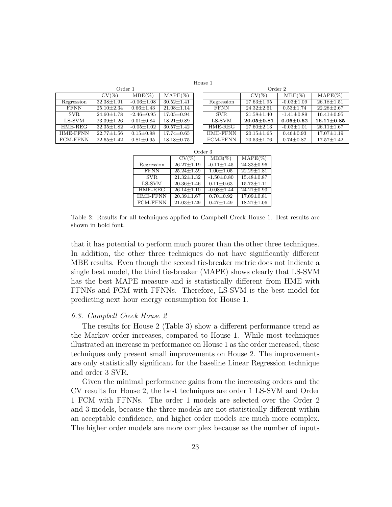House 1

|                 | vrger i          |                  |                  |  |  |  |  |  |
|-----------------|------------------|------------------|------------------|--|--|--|--|--|
|                 | $CV(\%)$         | $MBE(\%)$        | $MAPE(\%)$       |  |  |  |  |  |
| Regression      | $32.38 \pm 1.91$ | $-0.06 \pm 1.08$ | $30.52 \pm 1.41$ |  |  |  |  |  |
| <b>FFNN</b>     | $25.10 \pm 2.34$ | $0.66 \pm 1.43$  | $21.08 \pm 1.14$ |  |  |  |  |  |
| SVR.            | $24.60 \pm 1.78$ | $-2.46 \pm 0.95$ | $17.05 \pm 0.94$ |  |  |  |  |  |
| LS-SVM          | $23.39 \pm 1.26$ | $0.01 + 0.84$    | $18.21 + 0.89$   |  |  |  |  |  |
| HME-REG         | $32.35 \pm 1.82$ | $-0.05 \pm 1.02$ | $30.57 \pm 1.42$ |  |  |  |  |  |
| HME-FFNN        | $22.77 \pm 1.56$ | $0.15 \pm 0.98$  | $17.74 \pm 0.65$ |  |  |  |  |  |
| <b>FCM-FFNN</b> | $22.65 + 1.42$   | $0.81 + 0.95$    | $18.18 \pm 0.75$ |  |  |  |  |  |

| Order 1 |                  |                  | Order 2 |             |                  |                  |                  |
|---------|------------------|------------------|---------|-------------|------------------|------------------|------------------|
|         | $MBE(\%)$        | $MAPE(\%)$       |         |             | $CV(\%)$         | $MBE(\%)$        | $MAPE(\%)$       |
| .91     | $-0.06 \pm 1.08$ | $30.52 \pm 1.41$ |         | Regression  | $27.63 \pm 1.95$ | $-0.03 \pm 1.09$ | $26.18 \pm 1.51$ |
| .34     | $0.66 \pm 1.43$  | $21.08 \pm 1.14$ |         | <b>FFNN</b> | $24.32 \pm 2.61$ | $0.53 \pm 1.74$  | $22.28 + 2.67$   |
| .78     | $-2.46 \pm 0.95$ | $17.05 \pm 0.94$ |         | SVR.        | $21.58 \pm 1.40$ | $-1.41 \pm 0.89$ | $16.41 \pm 0.95$ |
| .26     | $0.01 \pm 0.84$  | $18.21 + 0.89$   |         | LS-SVM      | $20.05 + 0.81$   | $0.06 \pm 0.62$  | $16.11 \pm 0.85$ |
| .82     | $-0.05 \pm 1.02$ | $30.57 \pm 1.42$ |         | HME-REG     | $27.60 \pm 2.13$ | $-0.03 \pm 1.01$ | $26.11 \pm 1.67$ |
| .56     | $0.15 \pm 0.98$  | $17.74 \pm 0.65$ |         | HME-FFNN    | $20.15 \pm 1.65$ | $0.46 \pm 0.93$  | $17.07 \pm 1.19$ |
| .42     | $0.81 \pm 0.95$  | $18.18 \pm 0.75$ |         | FCM-FFNN    | $20.53 \pm 1.76$ | $0.74 \pm 0.87$  | $17.57 \pm 1.42$ |
|         |                  |                  |         |             |                  |                  |                  |

| Order 3         |                  |                  |                  |  |  |  |  |
|-----------------|------------------|------------------|------------------|--|--|--|--|
|                 | $CV(\%)$         | $MBE(\%)$        | $MAPE(\%)$       |  |  |  |  |
| Regression      | $26.27 \pm 1.19$ | $-0.11 \pm 1.45$ | $24.33 \pm 0.96$ |  |  |  |  |
| <b>FFNN</b>     | $25.24 \pm 1.59$ | $1.00 \pm 1.05$  | $22.29 \pm 1.81$ |  |  |  |  |
| SVR.            | $21.32 \pm 1.32$ | $-1.50 \pm 0.80$ | $15.48 \pm 0.87$ |  |  |  |  |
| LS-SVM          | $20.36 \pm 1.46$ | $0.11 \pm 0.63$  | $15.73 \pm 1.11$ |  |  |  |  |
| HME-REG         | $26.14 \pm 1.10$ | $-0.08 \pm 1.44$ | $24.21 \pm 0.93$ |  |  |  |  |
| HME-FFNN        | $20.39 \pm 1.67$ | $0.70 \pm 0.92$  | $17.09 \pm 0.81$ |  |  |  |  |
| <b>FCM-FFNN</b> | $21.03 \pm 1.29$ | $0.47 \pm 1.49$  | $18.27 \pm 1.06$ |  |  |  |  |

Table 2: Results for all techniques applied to Campbell Creek House 1. Best results are shown in bold font.

that it has potential to perform much poorer than the other three techniques. In addition, the other three techniques do not have significantly different MBE results. Even though the second tie-breaker metric does not indicate a single best model, the third tie-breaker (MAPE) shows clearly that LS-SVM has the best MAPE measure and is statistically different from HME with FFNNs and FCM with FFNNs. Therefore, LS-SVM is the best model for predicting next hour energy consumption for House 1.

#### 6.3. Campbell Creek House 2

The results for House 2 (Table 3) show a different performance trend as the Markov order increases, compared to House 1. While most techniques illustrated an increase in performance on House 1 as the order increased, these techniques only present small improvements on House 2. The improvements are only statistically significant for the baseline Linear Regression technique and order 3 SVR.

Given the minimal performance gains from the increasing orders and the CV results for House 2, the best techniques are order 1 LS-SVM and Order 1 FCM with FFNNs. The order 1 models are selected over the Order 2 and 3 models, because the three models are not statistically different within an acceptable confidence, and higher order models are much more complex. The higher order models are more complex because as the number of inputs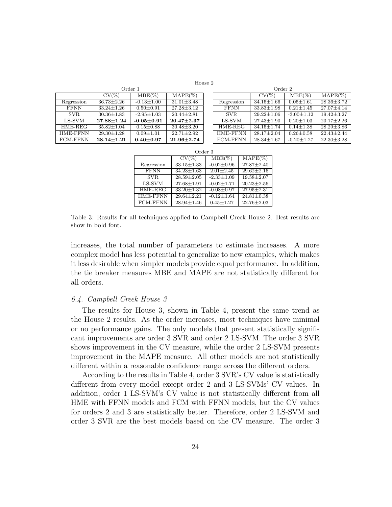House 2

| Order 1         |                    |                  |                      | Order 2         |                  |                  |                  |
|-----------------|--------------------|------------------|----------------------|-----------------|------------------|------------------|------------------|
|                 | $CV(\%)$           | $MBE(\%)$        | $MAPE(\%)$           |                 | $CV(\%)$         | $MBE(\%)$        | $MAPE(\%)$       |
| Regression      | $36.73 \pm 2.26$   | $-0.13 \pm 1.00$ | $31.01 \pm 3.48$     | Regression      | $34.15 \pm 1.66$ | $0.05 \pm 1.61$  | $28.36 \pm 3.72$ |
| <b>FFNN</b>     | $33.24 \pm 1.26$   | $0.50 \pm 0.91$  | $27.28 \pm 3.12$     | <b>FFNN</b>     | $33.83 \pm 1.98$ | $0.21 \pm 1.45$  | $27.07 \pm 4.14$ |
| <b>SVR</b>      | $30.36 \pm 1.83$   | $-2.95 \pm 1.03$ | $20.44 \pm 2.81$     | <b>SVR</b>      | $29.22 \pm 1.06$ | $-3.00 \pm 1.12$ | $19.42 + 3.27$   |
| LS-SVM          | $27.88 {\pm} 1.24$ | $-0.05 \pm 0.91$ | $20.47 \pm 2.37$     | LS-SVM          | $27.43 \pm 1.90$ | $0.20 \pm 1.03$  | $20.17 + 2.26$   |
| HME-REG         | $35.82 \pm 1.04$   | $0.15 \pm 0.88$  | $30.48 \pm 3.20$     | HME-REG         | $34.15 \pm 1.74$ | $0.14 \pm 1.38$  | $28.29 \pm 3.86$ |
| HME-FFNN        | $29.30 \pm 1.28$   | $0.09 \pm 1.01$  | $22.71 + 2.92$       | <b>HME-FFNN</b> | $28.17 \pm 2.04$ | $0.26 \pm 0.58$  | $22.43 \pm 2.44$ |
| <b>FCM-FFNN</b> | $28.14 + 1.21$     | $0.40 + 0.97$    | $21.96 \!\pm\! 2.74$ | <b>FCM-FFNN</b> | $28.34 \pm 1.67$ | $-0.20 + 1.27$   | $22.30 + 3.28$   |

| Order 3         |                  |                  |                  |  |  |  |
|-----------------|------------------|------------------|------------------|--|--|--|
|                 | $CV(\%)$         | $MBE(\%)$        | $MAPE(\%)$       |  |  |  |
| Regression      | $33.15 \pm 1.33$ | $-0.02 \pm 0.96$ | $27.87 \pm 2.40$ |  |  |  |
| <b>FFNN</b>     | $34.23 \pm 1.63$ | $2.01 \pm 2.45$  | $29.62 \pm 2.16$ |  |  |  |
| SVR.            | $28.59 \pm 2.05$ | $-2.33 \pm 1.09$ | $19.58 \pm 2.07$ |  |  |  |
| LS-SVM          | $27.68 \pm 1.91$ | $-0.02 + 1.71$   | $20.23 \pm 2.56$ |  |  |  |
| HME-REG         | $33.20 \pm 1.32$ | $-0.08 \pm 0.97$ | $27.95 \pm 2.31$ |  |  |  |
| <b>HME-FFNN</b> | $29.64 \pm 2.21$ | $-0.12 \pm 1.64$ | $24.81 \pm 0.38$ |  |  |  |
| <b>FCM-FFNN</b> | $28.94 \pm 1.46$ | $0.45 + 1.27$    | $22.76 \pm 2.03$ |  |  |  |

Table 3: Results for all techniques applied to Campbell Creek House 2. Best results are show in bold font.

increases, the total number of parameters to estimate increases. A more complex model has less potential to generalize to new examples, which makes it less desirable when simpler models provide equal performance. In addition, the tie breaker measures MBE and MAPE are not statistically different for all orders.

# 6.4. Campbell Creek House 3

The results for House 3, shown in Table 4, present the same trend as the House 2 results. As the order increases, most techniques have minimal or no performance gains. The only models that present statistically significant improvements are order 3 SVR and order 2 LS-SVM. The order 3 SVR shows improvement in the CV measure, while the order 2 LS-SVM presents improvement in the MAPE measure. All other models are not statistically different within a reasonable confidence range across the different orders.

According to the results in Table 4, order 3 SVR's CV value is statistically different from every model except order 2 and 3 LS-SVMs' CV values. In addition, order 1 LS-SVM's CV value is not statistically different from all HME with FFNN models and FCM with FFNN models, but the CV values for orders 2 and 3 are statistically better. Therefore, order 2 LS-SVM and order 3 SVR are the best models based on the CV measure. The order 3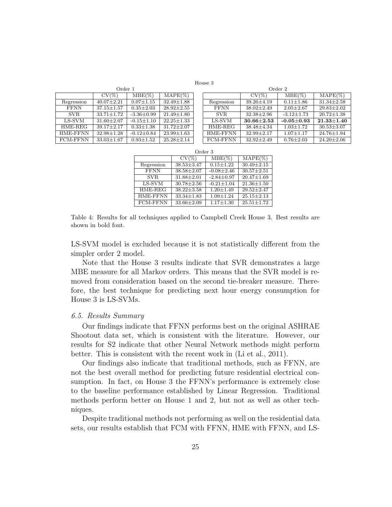House 3

|                 | vrger i          |                  |                  |  |  |  |  |
|-----------------|------------------|------------------|------------------|--|--|--|--|
|                 | $CV(\%)$         | $MBE(\%)$        | $MAPE(\%)$       |  |  |  |  |
| Regression      | $40.07 \pm 2.21$ | $0.07 \pm 1.15$  | $32.49 \pm 1.88$ |  |  |  |  |
| <b>FFNN</b>     | $37.15 \pm 1.57$ | $0.35 \pm 2.03$  | $28.92 \pm 2.55$ |  |  |  |  |
| SVR.            | $33.71 \pm 1.72$ | $-3.36 \pm 0.99$ | $21.49 \pm 1.80$ |  |  |  |  |
| LS-SVM          | $31.60 \pm 2.07$ | $-0.15 \pm 1.10$ | $22.25 \pm 1.33$ |  |  |  |  |
| HME-REG         | $39.17 + 2.17$   | $0.33 \pm 1.38$  | $31.72 \pm 2.07$ |  |  |  |  |
| HME-FFNN        | $32.98 \pm 1.28$ | $-0.12 \pm 0.84$ | $23.99 \pm 1.63$ |  |  |  |  |
| <b>FCM-FFNN</b> | $33.03 \pm 1.67$ | $0.93 \pm 1.52$  | $25.28 + 2.14$   |  |  |  |  |

| Order 1 |                  |                  | Order 2         |                  |                  |                  |
|---------|------------------|------------------|-----------------|------------------|------------------|------------------|
|         | $MBE(\%)$        | $MAPE(\%)$       |                 | $CV(\%)$         | $MBE(\%)$        | $MAPE(\%)$       |
| .21     | $0.07 \pm 1.15$  | $32.49 \pm 1.88$ | Regression      | $39.26 \pm 4.19$ | $0.11 \pm 1.86$  | $31.34 \pm 2.58$ |
| .57     | $0.35 \pm 2.03$  | $28.92 \pm 2.55$ | <b>FFNN</b>     | $38.02 \pm 2.49$ | $2.05 \pm 2.67$  | $29.83 \pm 2.02$ |
| .72     | $-3.36 \pm 0.99$ | $21.49 + 1.80$   | SVR.            | $32.38 \pm 2.96$ | $-3.12 \pm 1.73$ | $20.72 \pm 1.38$ |
| .07     | $-0.15 \pm 1.10$ | $22.25 + 1.33$   | LS-SVM          | $30.66 \pm 2.53$ | $-0.05 \pm 0.93$ | $21.33 \pm 1.40$ |
| .17     | $0.33 \pm 1.38$  | $31.72 \pm 2.07$ | HME-REG         | $38.48 \pm 4.34$ | $1.03 \pm 1.72$  | $30.53 \pm 3.07$ |
| .28     | $-0.12 \pm 0.84$ | $23.99 \pm 1.63$ | HME-FFNN        | $32.99 + 2.17$   | $1.07 \pm 1.17$  | $24.76 \pm 1.94$ |
| .67     | $0.93 + 1.52$    | $25.28 + 2.14$   | <b>FCM-FFNN</b> | $32.92 + 2.49$   | $0.76 + 2.03$    | $24.20 + 2.06$   |

| Order 3         |                  |                  |                  |  |  |  |
|-----------------|------------------|------------------|------------------|--|--|--|
|                 | $CV(\%)$         | $MBE(\%)$        | $MAPE(\%)$       |  |  |  |
| Regression      | $38.53 \pm 3.47$ | $0.15 \pm 1.22$  | $30.49 \pm 2.15$ |  |  |  |
| <b>FFNN</b>     | $38.58 \pm 2.07$ | $-0.08 \pm 2.46$ | $30.57 \pm 2.51$ |  |  |  |
| SVR.            | $31.88 + 2.01$   | $-2.84 + 0.97$   | $20.47 \pm 1.69$ |  |  |  |
| LS-SVM          | $30.78 + 2.56$   | $-0.21 + 1.04$   | $21.36 + 1.50$   |  |  |  |
| HME-REG         | $38.22 \pm 3.58$ | $1.20 + 1.49$    | $29.52 + 2.47$   |  |  |  |
| HME-FFNN        | $33.34 \pm 1.83$ | $1.09 + 1.24$    | $25.15 \pm 2.13$ |  |  |  |
| <b>FCM-FFNN</b> | $33.66 \pm 2.09$ | $1.17 \pm 1.30$  | $25.51 \pm 1.72$ |  |  |  |

Table 4: Results for all techniques applied to Campbell Creek House 3. Best results are shown in bold font.

LS-SVM model is excluded because it is not statistically different from the simpler order 2 model.

Note that the House 3 results indicate that SVR demonstrates a large MBE measure for all Markov orders. This means that the SVR model is removed from consideration based on the second tie-breaker measure. Therefore, the best technique for predicting next hour energy consumption for House 3 is LS-SVMs.

#### 6.5. Results Summary

Our findings indicate that FFNN performs best on the original ASHRAE Shootout data set, which is consistent with the literature. However, our results for S2 indicate that other Neural Network methods might perform better. This is consistent with the recent work in (Li et al., 2011).

Our findings also indicate that traditional methods, such as FFNN, are not the best overall method for predicting future residential electrical consumption. In fact, on House 3 the FFNN's performance is extremely close to the baseline performance established by Linear Regression. Traditional methods perform better on House 1 and 2, but not as well as other techniques.

Despite traditional methods not performing as well on the residential data sets, our results establish that FCM with FFNN, HME with FFNN, and LS-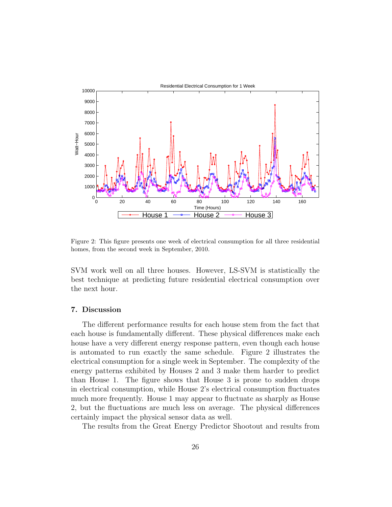

Figure 2: This figure presents one week of electrical consumption for all three residential homes, from the second week in September, 2010.

SVM work well on all three houses. However, LS-SVM is statistically the best technique at predicting future residential electrical consumption over the next hour.

# 7. Discussion

The different performance results for each house stem from the fact that each house is fundamentally different. These physical differences make each house have a very different energy response pattern, even though each house is automated to run exactly the same schedule. Figure 2 illustrates the electrical consumption for a single week in September. The complexity of the energy patterns exhibited by Houses 2 and 3 make them harder to predict than House 1. The figure shows that House 3 is prone to sudden drops in electrical consumption, while House 2's electrical consumption fluctuates much more frequently. House 1 may appear to fluctuate as sharply as House 2, but the fluctuations are much less on average. The physical differences certainly impact the physical sensor data as well.

The results from the Great Energy Predictor Shootout and results from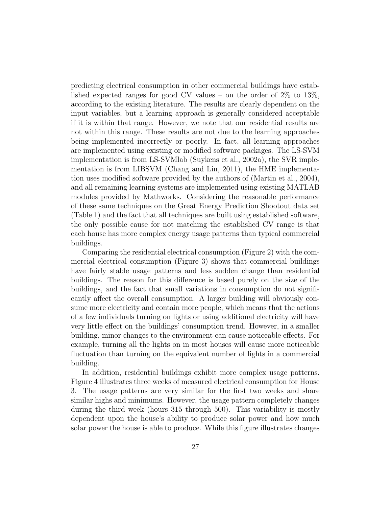predicting electrical consumption in other commercial buildings have established expected ranges for good CV values – on the order of 2% to 13%, according to the existing literature. The results are clearly dependent on the input variables, but a learning approach is generally considered acceptable if it is within that range. However, we note that our residential results are not within this range. These results are not due to the learning approaches being implemented incorrectly or poorly. In fact, all learning approaches are implemented using existing or modified software packages. The LS-SVM implementation is from LS-SVMlab (Suykens et al., 2002a), the SVR implementation is from LIBSVM (Chang and Lin, 2011), the HME implementation uses modified software provided by the authors of (Martin et al., 2004), and all remaining learning systems are implemented using existing MATLAB modules provided by Mathworks. Considering the reasonable performance of these same techniques on the Great Energy Prediction Shootout data set (Table 1) and the fact that all techniques are built using established software, the only possible cause for not matching the established CV range is that each house has more complex energy usage patterns than typical commercial buildings.

Comparing the residential electrical consumption (Figure 2) with the commercial electrical consumption (Figure 3) shows that commercial buildings have fairly stable usage patterns and less sudden change than residential buildings. The reason for this difference is based purely on the size of the buildings, and the fact that small variations in consumption do not significantly affect the overall consumption. A larger building will obviously consume more electricity and contain more people, which means that the actions of a few individuals turning on lights or using additional electricity will have very little effect on the buildings' consumption trend. However, in a smaller building, minor changes to the environment can cause noticeable effects. For example, turning all the lights on in most houses will cause more noticeable fluctuation than turning on the equivalent number of lights in a commercial building.

In addition, residential buildings exhibit more complex usage patterns. Figure 4 illustrates three weeks of measured electrical consumption for House 3. The usage patterns are very similar for the first two weeks and share similar highs and minimums. However, the usage pattern completely changes during the third week (hours 315 through 500). This variability is mostly dependent upon the house's ability to produce solar power and how much solar power the house is able to produce. While this figure illustrates changes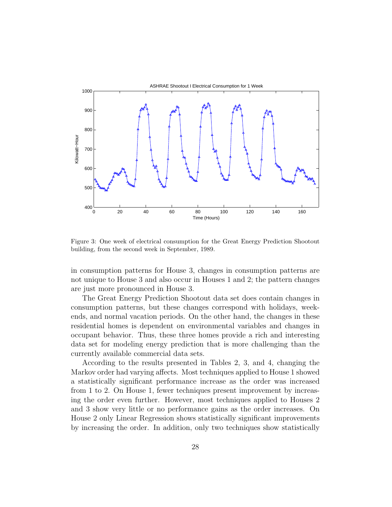

Figure 3: One week of electrical consumption for the Great Energy Prediction Shootout building, from the second week in September, 1989.

in consumption patterns for House 3, changes in consumption patterns are not unique to House 3 and also occur in Houses 1 and 2; the pattern changes are just more pronounced in House 3.

The Great Energy Prediction Shootout data set does contain changes in consumption patterns, but these changes correspond with holidays, weekends, and normal vacation periods. On the other hand, the changes in these residential homes is dependent on environmental variables and changes in occupant behavior. Thus, these three homes provide a rich and interesting data set for modeling energy prediction that is more challenging than the currently available commercial data sets.

According to the results presented in Tables 2, 3, and 4, changing the Markov order had varying affects. Most techniques applied to House 1 showed a statistically significant performance increase as the order was increased from 1 to 2. On House 1, fewer techniques present improvement by increasing the order even further. However, most techniques applied to Houses 2 and 3 show very little or no performance gains as the order increases. On House 2 only Linear Regression shows statistically significant improvements by increasing the order. In addition, only two techniques show statistically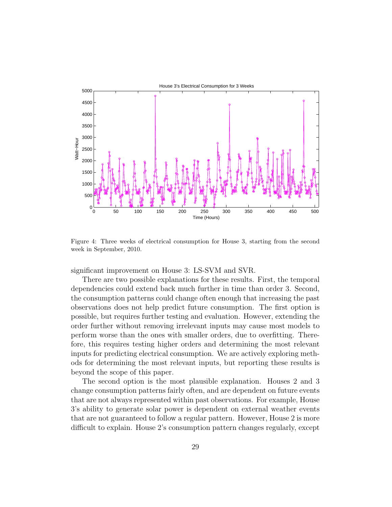

Figure 4: Three weeks of electrical consumption for House 3, starting from the second week in September, 2010.

significant improvement on House 3: LS-SVM and SVR.

There are two possible explanations for these results. First, the temporal dependencies could extend back much further in time than order 3. Second, the consumption patterns could change often enough that increasing the past observations does not help predict future consumption. The first option is possible, but requires further testing and evaluation. However, extending the order further without removing irrelevant inputs may cause most models to perform worse than the ones with smaller orders, due to overfitting. Therefore, this requires testing higher orders and determining the most relevant inputs for predicting electrical consumption. We are actively exploring methods for determining the most relevant inputs, but reporting these results is beyond the scope of this paper.

The second option is the most plausible explanation. Houses 2 and 3 change consumption patterns fairly often, and are dependent on future events that are not always represented within past observations. For example, House 3's ability to generate solar power is dependent on external weather events that are not guaranteed to follow a regular pattern. However, House 2 is more difficult to explain. House 2's consumption pattern changes regularly, except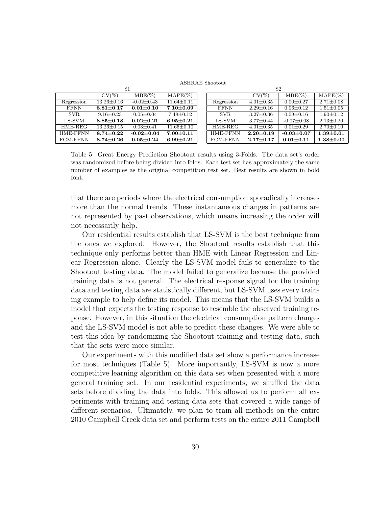ASHRAE Shootout

| S1              |                   |                  |                   | S <sub>2</sub>  |                   |                  |                 |
|-----------------|-------------------|------------------|-------------------|-----------------|-------------------|------------------|-----------------|
|                 | $CV(\%)$          | $MBE(\%)$        | $MAPE(\%)$        |                 | $CV(\%)$          | $MBE(\%)$        | $MAPE(\%)$      |
| Regression      | $13.26 \pm 0.16$  | $-0.02 \pm 0.43$ | $11.64 \pm 0.11$  | Regression      | $4.01 \pm 0.35$   | $0.00 \pm 0.27$  | $2.71 \pm 0.08$ |
| <b>FFNN</b>     | $8.81 {\pm} 0.17$ | $0.01 + 0.10$    | $7.10 \pm 0.09$   | <b>FFNN</b>     | $2.29 \pm 0.16$   | $0.06 \pm 0.12$  | $1.51 \pm 0.05$ |
| SVR.            | $9.16 \pm 0.23$   | $0.05 \pm 0.04$  | $7.48 \pm 0.12$   | <b>SVR</b>      | $3.27 \pm 0.36$   | $0.09 + 0.16$    | $1.90 \pm 0.12$ |
| LS-SVM          | $8.85 \pm 0.18$   | $0.02 \pm 0.21$  | $6.95 {\pm} 0.21$ | LS-SVM          | $3.77 \pm 0.44$   | $-0.07 \pm 0.08$ | $2.13 \pm 0.20$ |
| HME-REG         | $13.26 \pm 0.15$  | $0.03 \pm 0.41$  | $11.65 \pm 0.10$  | HME-REG         | $4.01 \pm 0.35$   | $0.01 \pm 0.29$  | $2.70 \pm 0.10$ |
| HME-FFNN        | $8.74 {\pm} 0.22$ | $-0.02 \pm 0.04$ | $7.00 \pm 0.11$   | <b>HME-FFNN</b> | $2.20 {\pm} 0.19$ | $-0.03 \pm 0.07$ | $1.39 + 0.01$   |
| <b>FCM-FFNN</b> | $8.74 + 0.26$     | $0.05 + 0.24$    | $6.99 + 0.21$     | <b>FCM-FFNN</b> | $2.17+0.17$       | $0.01 + 0.11$    | $1.38 + 0.00$   |

Table 5: Great Energy Prediction Shootout results using 3-Folds. The data set's order was randomized before being divided into folds. Each test set has approximately the same number of examples as the original competition test set. Best results are shown in bold font.

that there are periods where the electrical consumption sporadically increases more than the normal trends. These instantaneous changes in patterns are not represented by past observations, which means increasing the order will not necessarily help.

Our residential results establish that LS-SVM is the best technique from the ones we explored. However, the Shootout results establish that this technique only performs better than HME with Linear Regression and Linear Regression alone. Clearly the LS-SVM model fails to generalize to the Shootout testing data. The model failed to generalize because the provided training data is not general. The electrical response signal for the training data and testing data are statistically different, but LS-SVM uses every training example to help define its model. This means that the LS-SVM builds a model that expects the testing response to resemble the observed training reponse. However, in this situation the electrical consumption pattern changes and the LS-SVM model is not able to predict these changes. We were able to test this idea by randomizing the Shootout training and testing data, such that the sets were more similar.

Our experiments with this modified data set show a performance increase for most techniques (Table 5). More importantly, LS-SVM is now a more competitive learning algorithm on this data set when presented with a more general training set. In our residential experiments, we shuffled the data sets before dividing the data into folds. This allowed us to perform all experiments with training and testing data sets that covered a wide range of different scenarios. Ultimately, we plan to train all methods on the entire 2010 Campbell Creek data set and perform tests on the entire 2011 Campbell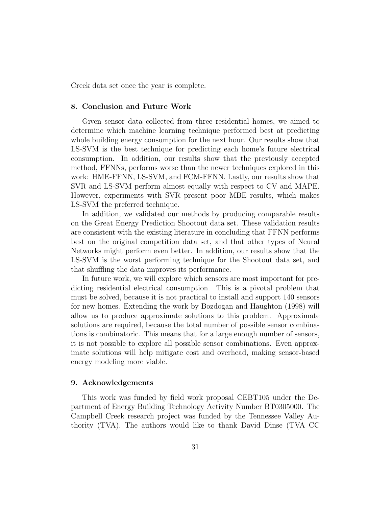Creek data set once the year is complete.

#### 8. Conclusion and Future Work

Given sensor data collected from three residential homes, we aimed to determine which machine learning technique performed best at predicting whole building energy consumption for the next hour. Our results show that LS-SVM is the best technique for predicting each home's future electrical consumption. In addition, our results show that the previously accepted method, FFNNs, performs worse than the newer techniques explored in this work: HME-FFNN, LS-SVM, and FCM-FFNN. Lastly, our results show that SVR and LS-SVM perform almost equally with respect to CV and MAPE. However, experiments with SVR present poor MBE results, which makes LS-SVM the preferred technique.

In addition, we validated our methods by producing comparable results on the Great Energy Prediction Shootout data set. These validation results are consistent with the existing literature in concluding that FFNN performs best on the original competition data set, and that other types of Neural Networks might perform even better. In addition, our results show that the LS-SVM is the worst performing technique for the Shootout data set, and that shuffling the data improves its performance.

In future work, we will explore which sensors are most important for predicting residential electrical consumption. This is a pivotal problem that must be solved, because it is not practical to install and support 140 sensors for new homes. Extending the work by Bozdogan and Haughton (1998) will allow us to produce approximate solutions to this problem. Approximate solutions are required, because the total number of possible sensor combinations is combinatoric. This means that for a large enough number of sensors, it is not possible to explore all possible sensor combinations. Even approximate solutions will help mitigate cost and overhead, making sensor-based energy modeling more viable.

#### 9. Acknowledgements

This work was funded by field work proposal CEBT105 under the Department of Energy Building Technology Activity Number BT0305000. The Campbell Creek research project was funded by the Tennessee Valley Authority (TVA). The authors would like to thank David Dinse (TVA CC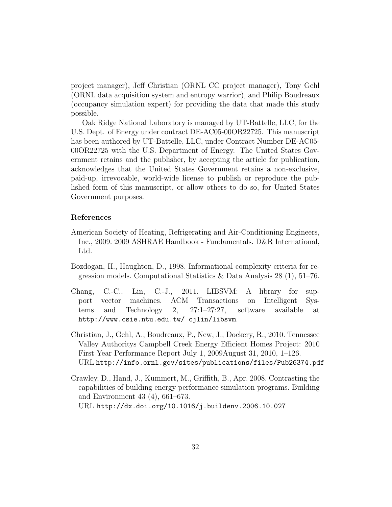project manager), Jeff Christian (ORNL CC project manager), Tony Gehl (ORNL data acquisition system and entropy warrior), and Philip Boudreaux (occupancy simulation expert) for providing the data that made this study possible.

Oak Ridge National Laboratory is managed by UT-Battelle, LLC, for the U.S. Dept. of Energy under contract DE-AC05-00OR22725. This manuscript has been authored by UT-Battelle, LLC, under Contract Number DE-AC05- 00OR22725 with the U.S. Department of Energy. The United States Government retains and the publisher, by accepting the article for publication, acknowledges that the United States Government retains a non-exclusive, paid-up, irrevocable, world-wide license to publish or reproduce the published form of this manuscript, or allow others to do so, for United States Government purposes.

# References

- American Society of Heating, Refrigerating and Air-Conditioning Engineers, Inc., 2009. 2009 ASHRAE Handbook - Fundamentals. D&R International, Ltd.
- Bozdogan, H., Haughton, D., 1998. Informational complexity criteria for regression models. Computational Statistics & Data Analysis 28 (1), 51–76.
- Chang, C.-C., Lin, C.-J., 2011. LIBSVM: A library for support vector machines. ACM Transactions on Intelligent Systems and Technology 2, 27:1–27:27, software available at http://www.csie.ntu.edu.tw/ cjlin/libsvm.
- Christian, J., Gehl, A., Boudreaux, P., New, J., Dockery, R., 2010. Tennessee Valley Authoritys Campbell Creek Energy Efficient Homes Project: 2010 First Year Performance Report July 1, 2009August 31, 2010, 1–126. URL http://info.ornl.gov/sites/publications/files/Pub26374.pdf
- Crawley, D., Hand, J., Kummert, M., Griffith, B., Apr. 2008. Contrasting the capabilities of building energy performance simulation programs. Building and Environment 43 (4), 661–673.

URL http://dx.doi.org/10.1016/j.buildenv.2006.10.027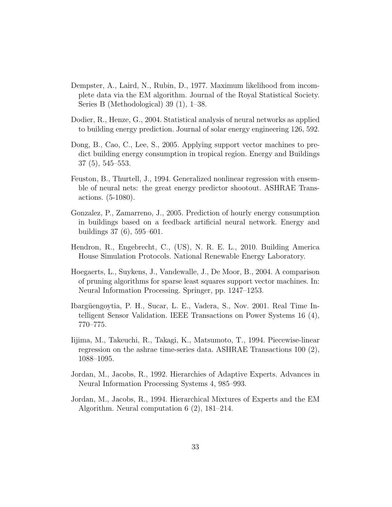- Dempster, A., Laird, N., Rubin, D., 1977. Maximum likelihood from incomplete data via the EM algorithm. Journal of the Royal Statistical Society. Series B (Methodological) 39 (1), 1–38.
- Dodier, R., Henze, G., 2004. Statistical analysis of neural networks as applied to building energy prediction. Journal of solar energy engineering 126, 592.
- Dong, B., Cao, C., Lee, S., 2005. Applying support vector machines to predict building energy consumption in tropical region. Energy and Buildings 37 (5), 545–553.
- Feuston, B., Thurtell, J., 1994. Generalized nonlinear regression with ensemble of neural nets: the great energy predictor shootout. ASHRAE Transactions. (5-1080).
- Gonzalez, P., Zamarreno, J., 2005. Prediction of hourly energy consumption in buildings based on a feedback artificial neural network. Energy and buildings 37 (6), 595–601.
- Hendron, R., Engebrecht, C., (US), N. R. E. L., 2010. Building America House Simulation Protocols. National Renewable Energy Laboratory.
- Hoegaerts, L., Suykens, J., Vandewalle, J., De Moor, B., 2004. A comparison of pruning algorithms for sparse least squares support vector machines. In: Neural Information Processing. Springer, pp. 1247–1253.
- Ibargüengoytia, P. H., Sucar, L. E., Vadera, S., Nov. 2001. Real Time Intelligent Sensor Validation. IEEE Transactions on Power Systems 16 (4), 770–775.
- Iijima, M., Takeuchi, R., Takagi, K., Matsumoto, T., 1994. Piecewise-linear regression on the ashrae time-series data. ASHRAE Transactions 100 (2), 1088–1095.
- Jordan, M., Jacobs, R., 1992. Hierarchies of Adaptive Experts. Advances in Neural Information Processing Systems 4, 985–993.
- Jordan, M., Jacobs, R., 1994. Hierarchical Mixtures of Experts and the EM Algorithm. Neural computation 6 (2), 181–214.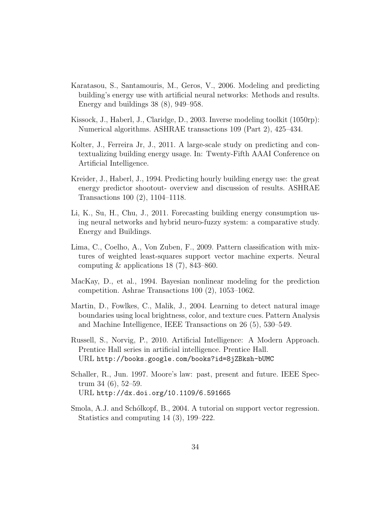- Karatasou, S., Santamouris, M., Geros, V., 2006. Modeling and predicting building's energy use with artificial neural networks: Methods and results. Energy and buildings 38 (8), 949–958.
- Kissock, J., Haberl, J., Claridge, D., 2003. Inverse modeling toolkit (1050rp): Numerical algorithms. ASHRAE transactions 109 (Part 2), 425–434.
- Kolter, J., Ferreira Jr, J., 2011. A large-scale study on predicting and contextualizing building energy usage. In: Twenty-Fifth AAAI Conference on Artificial Intelligence.
- Kreider, J., Haberl, J., 1994. Predicting hourly building energy use: the great energy predictor shootout- overview and discussion of results. ASHRAE Transactions 100 (2), 1104–1118.
- Li, K., Su, H., Chu, J., 2011. Forecasting building energy consumption using neural networks and hybrid neuro-fuzzy system: a comparative study. Energy and Buildings.
- Lima, C., Coelho, A., Von Zuben, F., 2009. Pattern classification with mixtures of weighted least-squares support vector machine experts. Neural computing  $\&$  applications 18 (7), 843–860.
- MacKay, D., et al., 1994. Bayesian nonlinear modeling for the prediction competition. Ashrae Transactions 100 (2), 1053–1062.
- Martin, D., Fowlkes, C., Malik, J., 2004. Learning to detect natural image boundaries using local brightness, color, and texture cues. Pattern Analysis and Machine Intelligence, IEEE Transactions on 26 (5), 530–549.
- Russell, S., Norvig, P., 2010. Artificial Intelligence: A Modern Approach. Prentice Hall series in artificial intelligence. Prentice Hall. URL http://books.google.com/books?id=8jZBksh-bUMC
- Schaller, R., Jun. 1997. Moore's law: past, present and future. IEEE Spectrum 34 (6), 52–59. URL http://dx.doi.org/10.1109/6.591665
- Smola, A.J. and Schólkopf, B., 2004. A tutorial on support vector regression. Statistics and computing 14 (3), 199–222.